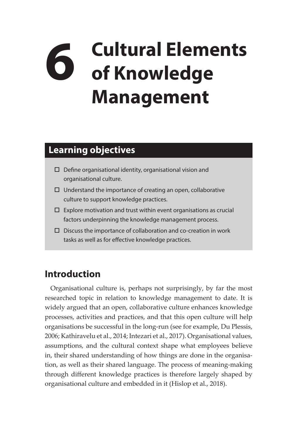## **6 Cultural Elements of Knowledge Management**

## **Learning objectives**

- $\square$  Define organisational identity, organisational vision and organisational culture.
- $\Box$  Understand the importance of creating an open, collaborative culture to support knowledge practices.
- $\square$  Explore motivation and trust within event organisations as crucial factors underpinning the knowledge management process.
- $\square$  Discuss the importance of collaboration and co-creation in work tasks as well as for effective knowledge practices.

## **Introduction**

Organisational culture is, perhaps not surprisingly, by far the most researched topic in relation to knowledge management to date. It is widely argued that an open, collaborative culture enhances knowledge processes, activities and practices, and that this open culture will help organisations be successful in the long-run (see for example, Du Plessis, 2006; Kathiravelu et al., 2014; Intezari et al., 2017). Organisational values, assumptions, and the cultural context shape what employees believe in, their shared understanding of how things are done in the organisation, as well as their shared language. The process of meaning-making through different knowledge practices is therefore largely shaped by organisational culture and embedded in it (Hislop et al., 2018).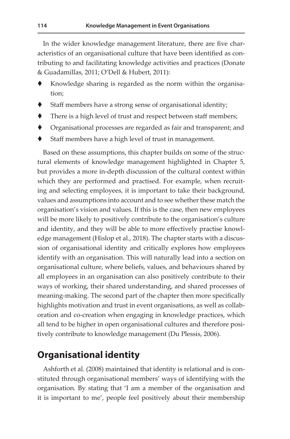In the wider knowledge management literature, there are five characteristics of an organisational culture that have been identified as contributing to and facilitating knowledge activities and practices (Donate & Guadamillas, 2011; O'Dell & Hubert, 2011):

- Knowledge sharing is regarded as the norm within the organisation;
- Staff members have a strong sense of organisational identity;
- ◆ There is a high level of trust and respect between staff members;
- Organisational processes are regarded as fair and transparent; and
- Staff members have a high level of trust in management.

Based on these assumptions, this chapter builds on some of the structural elements of knowledge management highlighted in Chapter 5, but provides a more in-depth discussion of the cultural context within which they are performed and practised. For example, when recruiting and selecting employees, it is important to take their background, values and assumptions into account and to see whether these match the organisation's vision and values. If this is the case, then new employees will be more likely to positively contribute to the organisation's culture and identity, and they will be able to more effectively practise knowledge management (Hislop et al., 2018). The chapter starts with a discussion of organisational identity and critically explores how employees identify with an organisation. This will naturally lead into a section on organisational culture, where beliefs, values, and behaviours shared by all employees in an organisation can also positively contribute to their ways of working, their shared understanding, and shared processes of meaning-making. The second part of the chapter then more specifically highlights motivation and trust in event organisations, as well as collaboration and co-creation when engaging in knowledge practices, which all tend to be higher in open organisational cultures and therefore positively contribute to knowledge management (Du Plessis, 2006).

## **Organisational identity**

Ashforth et al. (2008) maintained that identity is relational and is constituted through organisational members' ways of identifying with the organisation. By stating that 'I am a member of the organisation and it is important to me', people feel positively about their membership